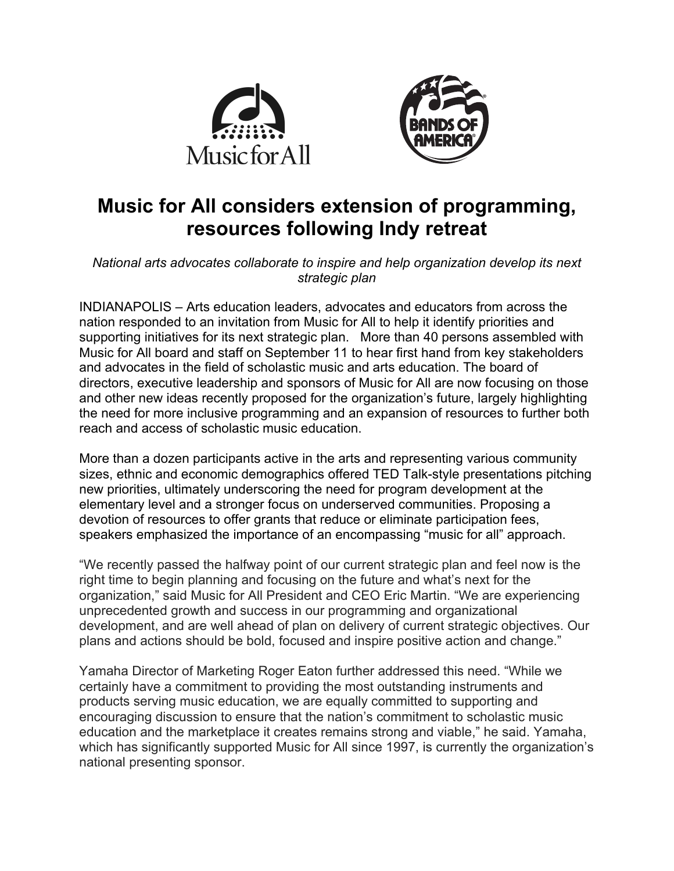



## **Music for All considers extension of programming, resources following Indy retreat**

*National arts advocates collaborate to inspire and help organization develop its next strategic plan*

INDIANAPOLIS – Arts education leaders, advocates and educators from across the nation responded to an invitation from Music for All to help it identify priorities and supporting initiatives for its next strategic plan. More than 40 persons assembled with Music for All board and staff on September 11 to hear first hand from key stakeholders and advocates in the field of scholastic music and arts education. The board of directors, executive leadership and sponsors of Music for All are now focusing on those and other new ideas recently proposed for the organization's future, largely highlighting the need for more inclusive programming and an expansion of resources to further both reach and access of scholastic music education.

More than a dozen participants active in the arts and representing various community sizes, ethnic and economic demographics offered TED Talk-style presentations pitching new priorities, ultimately underscoring the need for program development at the elementary level and a stronger focus on underserved communities. Proposing a devotion of resources to offer grants that reduce or eliminate participation fees, speakers emphasized the importance of an encompassing "music for all" approach.

"We recently passed the halfway point of our current strategic plan and feel now is the right time to begin planning and focusing on the future and what's next for the organization," said Music for All President and CEO Eric Martin. "We are experiencing unprecedented growth and success in our programming and organizational development, and are well ahead of plan on delivery of current strategic objectives. Our plans and actions should be bold, focused and inspire positive action and change."

Yamaha Director of Marketing Roger Eaton further addressed this need. "While we certainly have a commitment to providing the most outstanding instruments and products serving music education, we are equally committed to supporting and encouraging discussion to ensure that the nation's commitment to scholastic music education and the marketplace it creates remains strong and viable," he said. Yamaha, which has significantly supported Music for All since 1997, is currently the organization's national presenting sponsor.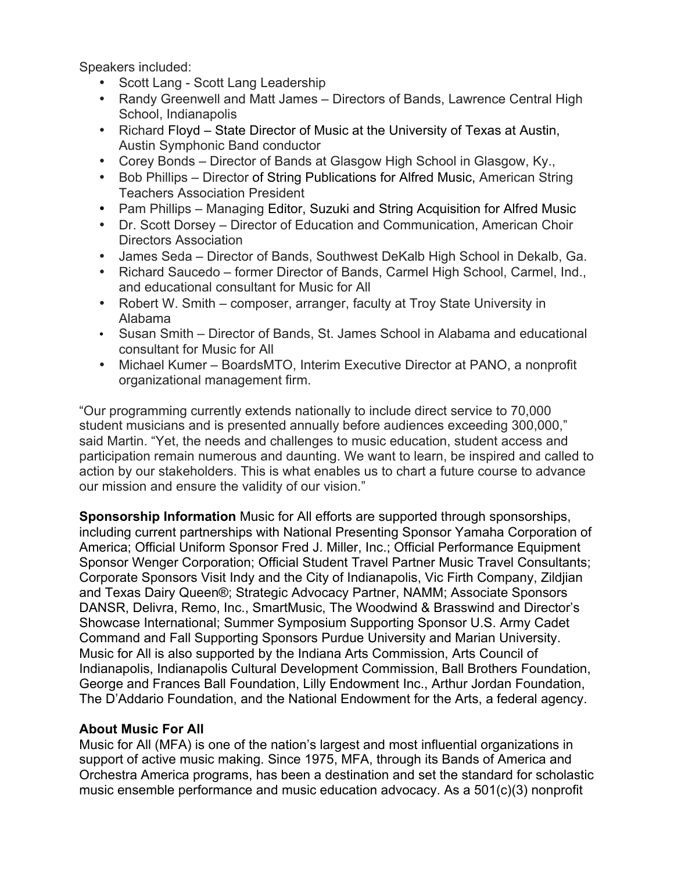Speakers included:

- Scott Lang Scott Lang Leadership
- Randy Greenwell and Matt James Directors of Bands, Lawrence Central High School, Indianapolis
- Richard Floyd State Director of Music at the University of Texas at Austin, Austin Symphonic Band conductor
- Corey Bonds Director of Bands at Glasgow High School in Glasgow, Ky.,
- Bob Phillips Director of String Publications for Alfred Music, American String Teachers Association President
- Pam Phillips Managing Editor, Suzuki and String Acquisition for Alfred Music
- Dr. Scott Dorsey Director of Education and Communication, American Choir Directors Association
- James Seda Director of Bands, Southwest DeKalb High School in Dekalb, Ga.
- Richard Saucedo former Director of Bands, Carmel High School, Carmel, Ind., and educational consultant for Music for All
- Robert W. Smith composer, arranger, faculty at Troy State University in Alabama
- Susan Smith Director of Bands, St. James School in Alabama and educational consultant for Music for All
- Michael Kumer BoardsMTO, Interim Executive Director at PANO, a nonprofit organizational management firm.

"Our programming currently extends nationally to include direct service to 70,000 student musicians and is presented annually before audiences exceeding 300,000," said Martin. "Yet, the needs and challenges to music education, student access and participation remain numerous and daunting. We want to learn, be inspired and called to action by our stakeholders. This is what enables us to chart a future course to advance our mission and ensure the validity of our vision."

**Sponsorship Information** Music for All efforts are supported through sponsorships, including current partnerships with National Presenting Sponsor Yamaha Corporation of America; Official Uniform Sponsor Fred J. Miller, Inc.; Official Performance Equipment Sponsor Wenger Corporation; Official Student Travel Partner Music Travel Consultants; Corporate Sponsors Visit Indy and the City of Indianapolis, Vic Firth Company, Zildjian and Texas Dairy Queen®; Strategic Advocacy Partner, NAMM; Associate Sponsors DANSR, Delivra, Remo, Inc., SmartMusic, The Woodwind & Brasswind and Director's Showcase International; Summer Symposium Supporting Sponsor U.S. Army Cadet Command and Fall Supporting Sponsors Purdue University and Marian University. Music for All is also supported by the Indiana Arts Commission, Arts Council of Indianapolis, Indianapolis Cultural Development Commission, Ball Brothers Foundation, George and Frances Ball Foundation, Lilly Endowment Inc., Arthur Jordan Foundation, The D'Addario Foundation, and the National Endowment for the Arts, a federal agency.

## **About Music For All**

Music for All (MFA) is one of the nation's largest and most influential organizations in support of active music making. Since 1975, MFA, through its Bands of America and Orchestra America programs, has been a destination and set the standard for scholastic music ensemble performance and music education advocacy. As a 501(c)(3) nonprofit